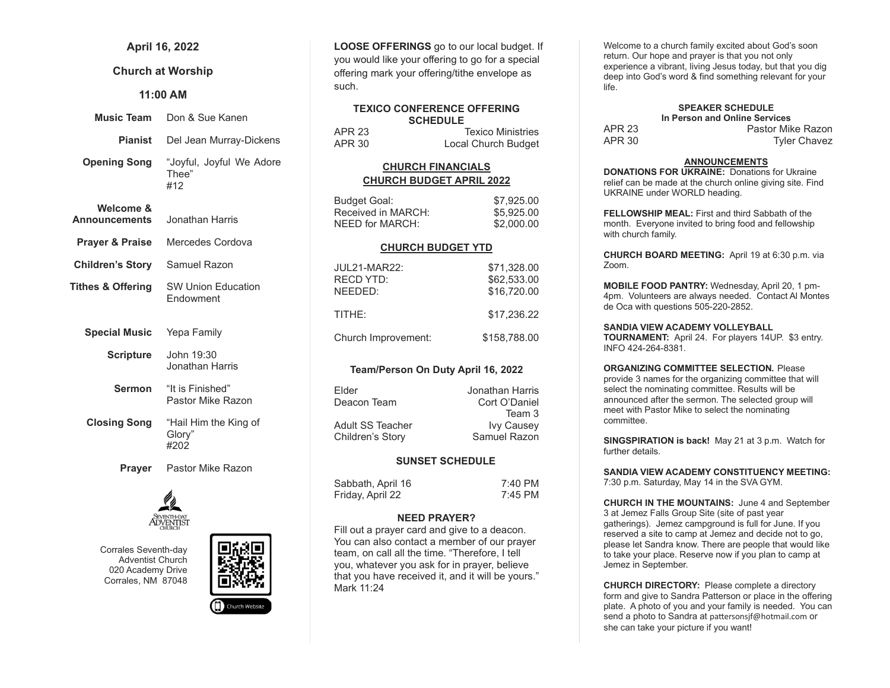## April 16, 2022

## Church at Worship

#### 11:00 AM

| <b>Music Team</b>                 | Don & Sue Kanen                          |
|-----------------------------------|------------------------------------------|
| <b>Pianist</b>                    | Del Jean Murray-Dickens                  |
| <b>Opening Song</b>               | "Joyful, Joyful We Adore<br>Thee"<br>#12 |
| Welcome &<br><b>Announcements</b> | Jonathan Harris                          |
| Prayer & Praise                   | Mercedes Cordova                         |
| <b>Children's Story</b>           | Samuel Razon                             |
| <b>Tithes &amp; Offering</b>      | <b>SW Union Education</b><br>Endowment   |
| <b>Special Music</b>              | Yepa Family                              |
| <b>Scripture</b>                  | John 19:30<br>Jonathan Harris            |
| Sermon                            | "It is Finished"<br>Pastor Mike Razon    |
| <b>Closing Song</b>               | "Hail Him the King of<br>Glory"<br>#202  |
| <b>Prayer</b>                     | Pastor Mike Razon                        |



Corrales Seventh-day Adventist Church 020 Academy Drive Corrales, NM 87048



LOOSE OFFERINGS go to our local budget. If you would like your offering to go for a special offering mark your offering/tithe envelope as such.

#### TEXICO CONFERENCE OFFERING **SCHEDULE** APR 23 Texico Ministries

| APR 30 | AFN 20. | TEXICO IVIII IISLITES |
|--------|---------|-----------------------|
|        |         | Local Church Budget   |

# CHURCH FINANCIALS CHURCH BUDGET APRIL 2022

| Budget Goal:       | \$7.925.00 |
|--------------------|------------|
| Received in MARCH: | \$5.925.00 |
| NEED for MARCH:    | \$2,000.00 |

## CHURCH BUDGET YTD

| JUL21-MAR22:<br><b>RECD YTD:</b><br>NFFDFD: | \$71.328.00<br>\$62.533.00<br>\$16.720.00 |
|---------------------------------------------|-------------------------------------------|
| TITHE:                                      | \$17.236.22                               |
| Church Improvement:                         | \$158.788.00                              |

## Team/Person On Duty April 16, 2022

| Elder            | Jonathan Harris   |
|------------------|-------------------|
| Deacon Team      | Cort O'Daniel     |
|                  | Team 3            |
| Adult SS Teacher | <b>Ivy Causey</b> |
| Children's Story | Samuel Razon      |
|                  |                   |

## SUNSET SCHEDULE

| Sabbath, April 16 | 7:40 PM |
|-------------------|---------|
| Friday, April 22  | 7:45 PM |

## NEED PRAYER?

Fill out a prayer card and give to a deacon. You can also contact a member of our prayer team, on call all the time. "Therefore, I tell you, whatever you ask for in prayer, believe that you have received it, and it will be yours." Mark 11:24

Welcome to a church family excited about God's soon return. Our hope and prayer is that you not only experience a vibrant, living Jesus today, but that you dig deep into God's word & find something relevant for your life.

#### SPEAKER SCHEDULE In Person and Online Services

|        | <u>III FEISUII ANU UNINE JEIVILES</u> |
|--------|---------------------------------------|
| APR 23 | Pastor Mike Razon                     |
| APR 30 | <b>Tyler Chavez</b>                   |

#### ANNOUNCEMENTS

DONATIONS FOR UKRAINE: Donations for Ukraine relief can be made at the church online giving site. Find UKRAINE under WORLD heading.

FELLOWSHIP MEAL: First and third Sabbath of the month. Everyone invited to bring food and fellowship with church family.

CHURCH BOARD MEETING: April 19 at 6:30 p.m. via Zoom.

MOBILE FOOD PANTRY: Wednesday, April 20, 1 pm-4pm. Volunteers are always needed. Contact Al Montes de Oca with questions 505-220-2852.

SANDIA VIEW ACADEMY VOLLEYBALL

TOURNAMENT: April 24. For players 14UP. \$3 entry. INFO 424-264-8381.

ORGANIZING COMMITTEE SELECTION. Please provide 3 names for the organizing committee that will select the nominating committee. Results will be announced after the sermon. The selected group will meet with Pastor Mike to select the nominating committee.

SINGSPIRATION is back! May 21 at 3 p.m. Watch for further details.

SANDIA VIEW ACADEMY CONSTITUENCY MEETING: 7:30 p.m. Saturday, May 14 in the SVA GYM.

CHURCH IN THE MOUNTAINS: June 4 and September 3 at Jemez Falls Group Site (site of past year gatherings). Jemez campground is full for June. If you reserved a site to camp at Jemez and decide not to go, please let Sandra know. There are people that would like to take your place. Reserve now if you plan to camp at Jemez in September.

CHURCH DIRECTORY: Please complete a directory form and give to Sandra Patterson or place in the offering plate. A photo of you and your family is needed. You can send a photo to Sandra at pattersonsjf@hotmail.com or she can take your picture if you want!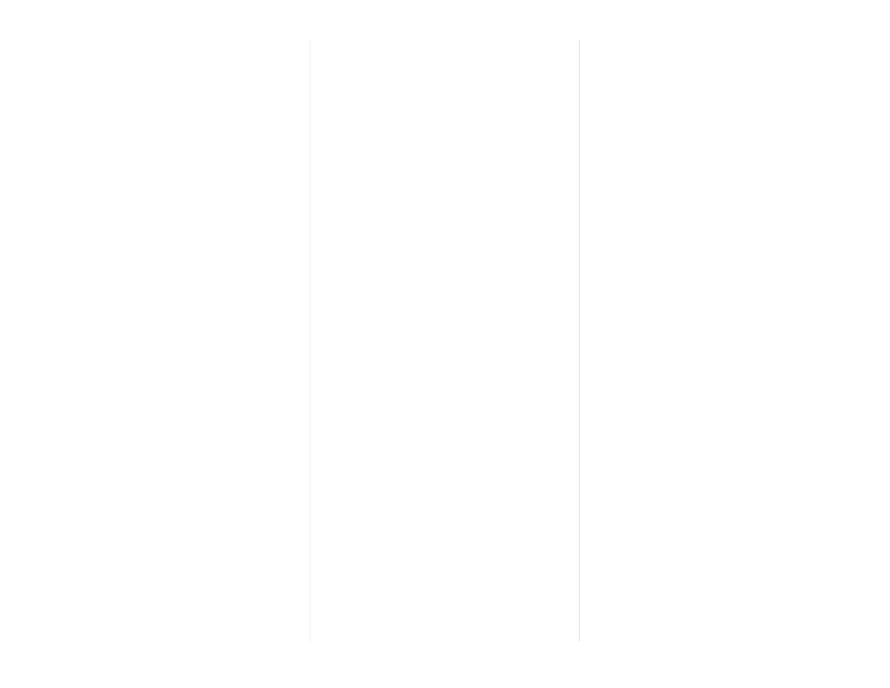